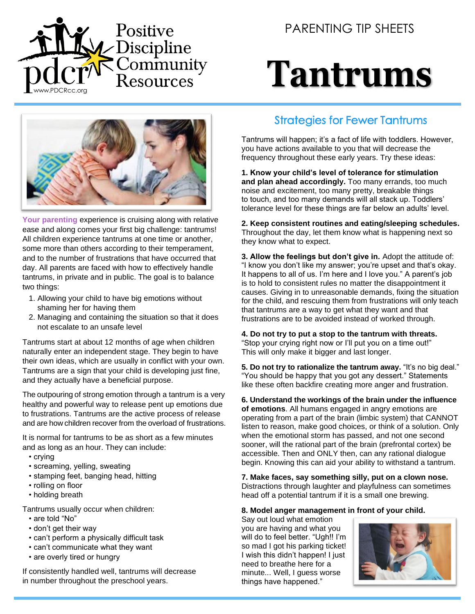

PARENTING TIP SHEETS

# **Tantrums**



**Your parenting** experience is cruising along with relative ease and along comes your first big challenge: tantrums! All children experience tantrums at one time or another, some more than others according to their temperament, and to the number of frustrations that have occurred that day. All parents are faced with how to effectively handle tantrums, in private and in public. The goal is to balance two things:

- 1. Allowing your child to have big emotions without shaming her for having them
- 2. Managing and containing the situation so that it does not escalate to an unsafe level

Tantrums start at about 12 months of age when children naturally enter an independent stage. They begin to have their own ideas, which are usually in conflict with your own. Tantrums are a sign that your child is developing just fine, and they actually have a beneficial purpose.

The outpouring of strong emotion through a tantrum is a very healthy and powerful way to release pent up emotions due to frustrations. Tantrums are the active process of release and are how children recover from the overload of frustrations.

It is normal for tantrums to be as short as a few minutes and as long as an hour. They can include:

- crying
- screaming, yelling, sweating
- stamping feet, banging head, hitting
- rolling on floor
- holding breath

Tantrums usually occur when children:

- are told "No"
- don't get their way
- can't perform a physically difficult task
- can't communicate what they want
- are overly tired or hungry

If consistently handled well, tantrums will decrease in number throughout the preschool years.

#### Strategies for Fewer Tantrums

Tantrums will happen; it's a fact of life with toddlers. However, you have actions available to you that will decrease the frequency throughout these early years. Try these ideas:

**1. Know your child's level of tolerance for stimulation and plan ahead accordingly.** Too many errands, too much noise and excitement, too many pretty, breakable things to touch, and too many demands will all stack up. Toddlers' tolerance level for these things are far below an adults' level.

**2. Keep consistent routines and eating/sleeping schedules.** Throughout the day, let them know what is happening next so they know what to expect.

**3. Allow the feelings but don't give in.** Adopt the attitude of: "I know you don't like my answer; you're upset and that's okay. It happens to all of us. I'm here and I love you." A parent's job is to hold to consistent rules no matter the disappointment it causes. Giving in to unreasonable demands, fixing the situation for the child, and rescuing them from frustrations will only teach that tantrums are a way to get what they want and that frustrations are to be avoided instead of worked through.

**4. Do not try to put a stop to the tantrum with threats.** "Stop your crying right now or I'll put you on a time out!" This will only make it bigger and last longer.

**5. Do not try to rationalize the tantrum away.** "It's no big deal." "You should be happy that you got any dessert." Statements like these often backfire creating more anger and frustration.

**6. Understand the workings of the brain under the influence of emotions**. All humans engaged in angry emotions are operating from a part of the brain (limbic system) that CANNOT listen to reason, make good choices, or think of a solution. Only when the emotional storm has passed, and not one second sooner, will the rational part of the brain (prefrontal cortex) be accessible. Then and ONLY then, can any rational dialogue begin. Knowing this can aid your ability to withstand a tantrum.

**7. Make faces, say something silly, put on a clown nose.** Distractions through laughter and playfulness can sometimes head off a potential tantrum if it is a small one brewing.

#### **8. Model anger management in front of your child.**

Say out loud what emotion you are having and what you will do to feel better. "Ugh!! I'm so mad I got his parking ticket! I wish this didn't happen! I just need to breathe here for a minute... Well, I guess worse things have happened."